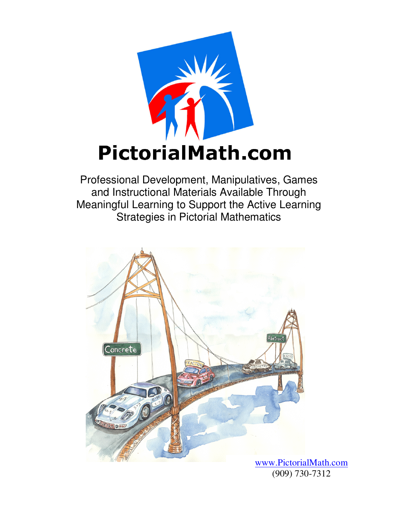

Professional Development, Manipulatives, Games and Instructional Materials Available Through Meaningful Learning to Support the Active Learning Strategies in Pictorial Mathematics



www.PictorialMath.com (909) 730-7312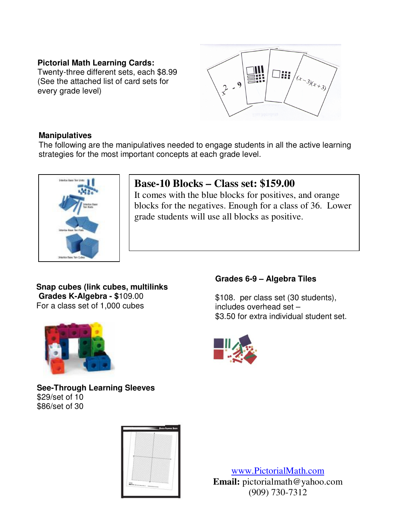#### **Pictorial Math Learning Cards:**

Twenty-three different sets, each \$8.99 (See the attached list of card sets for every grade level)



#### **Manipulatives**

The following are the manipulatives needed to engage students in all the active learning strategies for the most important concepts at each grade level.



### **Base-10 Blocks – Class set: \$159.00**

It comes with the blue blocks for positives, and orange blocks for the negatives. Enough for a class of 36. Lower grade students will use all blocks as positive.

#### **Snap cubes (link cubes, multilinks Grades K-Algebra - \$**109.00 For a class set of 1,000 cubes



**See-Through Learning Sleeves**

\$29/set of 10 \$86/set of 30



#### **Grades 6-9 – Algebra Tiles**

\$108. per class set (30 students), includes overhead set – \$3.50 for extra individual student set.